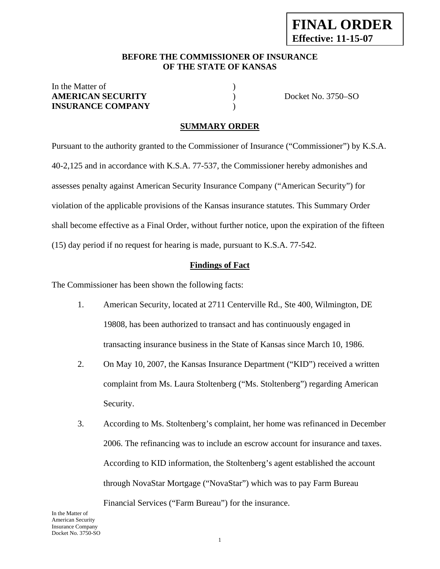#### **BEFORE THE COMMISSIONER OF INSURANCE OF THE STATE OF KANSAS**

# In the Matter of  $\hspace{1.5cm}$  ) **AMERICAN SECURITY** ) Docket No. 3750–SO **INSURANCE COMPANY** )

# **SUMMARY ORDER**

Pursuant to the authority granted to the Commissioner of Insurance ("Commissioner") by K.S.A. 40-2,125 and in accordance with K.S.A. 77-537, the Commissioner hereby admonishes and assesses penalty against American Security Insurance Company ("American Security") for violation of the applicable provisions of the Kansas insurance statutes. This Summary Order shall become effective as a Final Order, without further notice, upon the expiration of the fifteen (15) day period if no request for hearing is made, pursuant to K.S.A. 77-542.

# **Findings of Fact**

The Commissioner has been shown the following facts:

- 1. American Security, located at 2711 Centerville Rd., Ste 400, Wilmington, DE 19808, has been authorized to transact and has continuously engaged in transacting insurance business in the State of Kansas since March 10, 1986.
- 2. On May 10, 2007, the Kansas Insurance Department ("KID") received a written complaint from Ms. Laura Stoltenberg ("Ms. Stoltenberg") regarding American Security.
- 3. According to Ms. Stoltenberg's complaint, her home was refinanced in December 2006. The refinancing was to include an escrow account for insurance and taxes. According to KID information, the Stoltenberg's agent established the account through NovaStar Mortgage ("NovaStar") which was to pay Farm Bureau Financial Services ("Farm Bureau") for the insurance.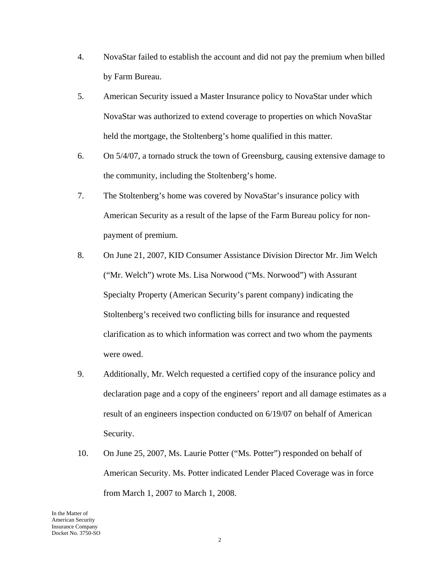- 4. NovaStar failed to establish the account and did not pay the premium when billed by Farm Bureau.
- 5. American Security issued a Master Insurance policy to NovaStar under which NovaStar was authorized to extend coverage to properties on which NovaStar held the mortgage, the Stoltenberg's home qualified in this matter.
- 6. On 5/4/07, a tornado struck the town of Greensburg, causing extensive damage to the community, including the Stoltenberg's home.
- 7. The Stoltenberg's home was covered by NovaStar's insurance policy with American Security as a result of the lapse of the Farm Bureau policy for nonpayment of premium.
- 8. On June 21, 2007, KID Consumer Assistance Division Director Mr. Jim Welch ("Mr. Welch") wrote Ms. Lisa Norwood ("Ms. Norwood") with Assurant Specialty Property (American Security's parent company) indicating the Stoltenberg's received two conflicting bills for insurance and requested clarification as to which information was correct and two whom the payments were owed.
- 9. Additionally, Mr. Welch requested a certified copy of the insurance policy and declaration page and a copy of the engineers' report and all damage estimates as a result of an engineers inspection conducted on 6/19/07 on behalf of American Security.
- 10. On June 25, 2007, Ms. Laurie Potter ("Ms. Potter") responded on behalf of American Security. Ms. Potter indicated Lender Placed Coverage was in force from March 1, 2007 to March 1, 2008.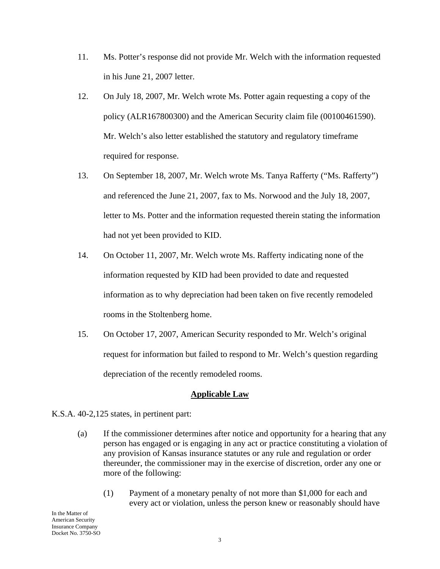- 11. Ms. Potter's response did not provide Mr. Welch with the information requested in his June 21, 2007 letter.
- 12. On July 18, 2007, Mr. Welch wrote Ms. Potter again requesting a copy of the policy (ALR167800300) and the American Security claim file (00100461590). Mr. Welch's also letter established the statutory and regulatory timeframe required for response.
- 13. On September 18, 2007, Mr. Welch wrote Ms. Tanya Rafferty ("Ms. Rafferty") and referenced the June 21, 2007, fax to Ms. Norwood and the July 18, 2007, letter to Ms. Potter and the information requested therein stating the information had not yet been provided to KID.
- 14. On October 11, 2007, Mr. Welch wrote Ms. Rafferty indicating none of the information requested by KID had been provided to date and requested information as to why depreciation had been taken on five recently remodeled rooms in the Stoltenberg home.
- 15. On October 17, 2007, American Security responded to Mr. Welch's original request for information but failed to respond to Mr. Welch's question regarding depreciation of the recently remodeled rooms.

### **Applicable Law**

- K.S.A. 40-2,125 states, in pertinent part:
	- (a) If the commissioner determines after notice and opportunity for a hearing that any person has engaged or is engaging in any act or practice constituting a violation of any provision of Kansas insurance statutes or any rule and regulation or order thereunder, the commissioner may in the exercise of discretion, order any one or more of the following:
		- (1) Payment of a monetary penalty of not more than \$1,000 for each and every act or violation, unless the person knew or reasonably should have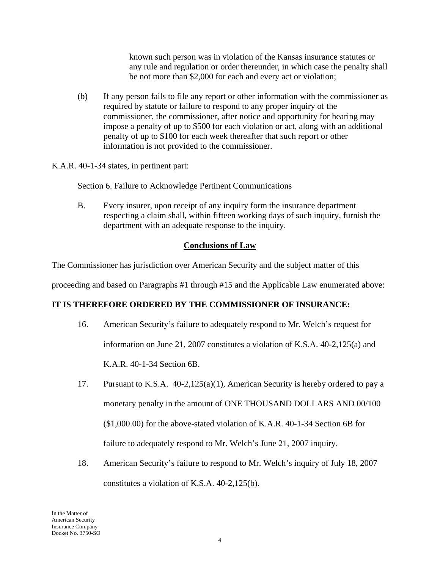known such person was in violation of the Kansas insurance statutes or any rule and regulation or order thereunder, in which case the penalty shall be not more than \$2,000 for each and every act or violation;

(b) If any person fails to file any report or other information with the commissioner as required by statute or failure to respond to any proper inquiry of the commissioner, the commissioner, after notice and opportunity for hearing may impose a penalty of up to \$500 for each violation or act, along with an additional penalty of up to \$100 for each week thereafter that such report or other information is not provided to the commissioner.

K.A.R. 40-1-34 states, in pertinent part:

Section 6. Failure to Acknowledge Pertinent Communications

B. Every insurer, upon receipt of any inquiry form the insurance department respecting a claim shall, within fifteen working days of such inquiry, furnish the department with an adequate response to the inquiry.

# **Conclusions of Law**

The Commissioner has jurisdiction over American Security and the subject matter of this

proceeding and based on Paragraphs #1 through #15 and the Applicable Law enumerated above:

### **IT IS THEREFORE ORDERED BY THE COMMISSIONER OF INSURANCE:**

- 16. American Security's failure to adequately respond to Mr. Welch's request for information on June 21, 2007 constitutes a violation of K.S.A. 40-2,125(a) and K.A.R. 40-1-34 Section 6B.
- 17. Pursuant to K.S.A. 40-2,125(a)(1), American Security is hereby ordered to pay a monetary penalty in the amount of ONE THOUSAND DOLLARS AND 00/100 (\$1,000.00) for the above-stated violation of K.A.R. 40-1-34 Section 6B for failure to adequately respond to Mr. Welch's June 21, 2007 inquiry.
- 18. American Security's failure to respond to Mr. Welch's inquiry of July 18, 2007 constitutes a violation of K.S.A. 40-2,125(b).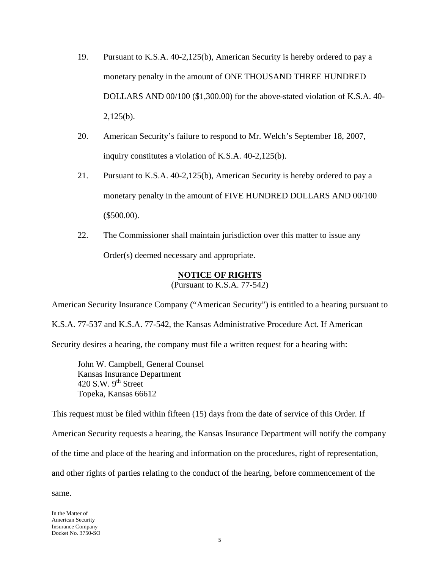- 19. Pursuant to K.S.A. 40-2,125(b), American Security is hereby ordered to pay a monetary penalty in the amount of ONE THOUSAND THREE HUNDRED DOLLARS AND 00/100 (\$1,300.00) for the above-stated violation of K.S.A. 40- 2,125(b).
- 20. American Security's failure to respond to Mr. Welch's September 18, 2007, inquiry constitutes a violation of K.S.A. 40-2,125(b).
- 21. Pursuant to K.S.A. 40-2,125(b), American Security is hereby ordered to pay a monetary penalty in the amount of FIVE HUNDRED DOLLARS AND 00/100 (\$500.00).
- 22. The Commissioner shall maintain jurisdiction over this matter to issue any Order(s) deemed necessary and appropriate.

### **NOTICE OF RIGHTS**

(Pursuant to K.S.A. 77-542)

American Security Insurance Company ("American Security") is entitled to a hearing pursuant to

K.S.A. 77-537 and K.S.A. 77-542, the Kansas Administrative Procedure Act. If American

Security desires a hearing, the company must file a written request for a hearing with:

 John W. Campbell, General Counsel Kansas Insurance Department 420 S.W.  $9<sup>th</sup>$  Street Topeka, Kansas 66612

This request must be filed within fifteen (15) days from the date of service of this Order. If American Security requests a hearing, the Kansas Insurance Department will notify the company of the time and place of the hearing and information on the procedures, right of representation, and other rights of parties relating to the conduct of the hearing, before commencement of the same.

In the Matter of American Security Insurance Company Docket No. 3750-SO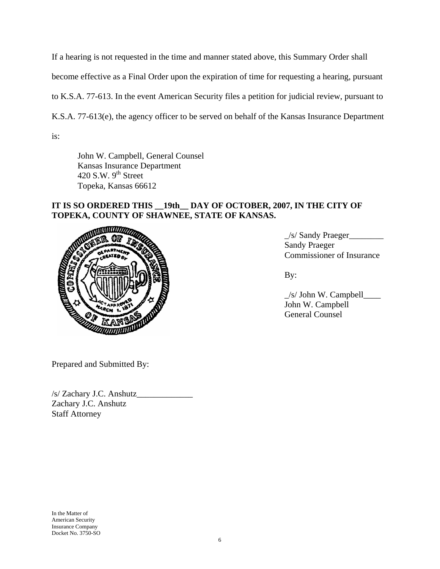If a hearing is not requested in the time and manner stated above, this Summary Order shall become effective as a Final Order upon the expiration of time for requesting a hearing, pursuant to K.S.A. 77-613. In the event American Security files a petition for judicial review, pursuant to K.S.A. 77-613(e), the agency officer to be served on behalf of the Kansas Insurance Department is:

 John W. Campbell, General Counsel Kansas Insurance Department 420 S.W.  $9<sup>th</sup>$  Street Topeka, Kansas 66612

#### **IT IS SO ORDERED THIS \_\_19th\_\_ DAY OF OCTOBER, 2007, IN THE CITY OF TOPEKA, COUNTY OF SHAWNEE, STATE OF KANSAS.**



\_/s/ Sandy Praeger\_\_\_\_\_\_\_\_ Sandy Praeger Commissioner of Insurance

 $\frac{1}{s}$  John W. Campbell John W. Campbell General Counsel

Prepared and Submitted By:

/s/ Zachary J.C. Anshutz\_\_\_\_\_\_\_\_\_\_\_\_\_ Zachary J.C. Anshutz Staff Attorney

In the Matter of American Security Insurance Company Docket No. 3750-SO